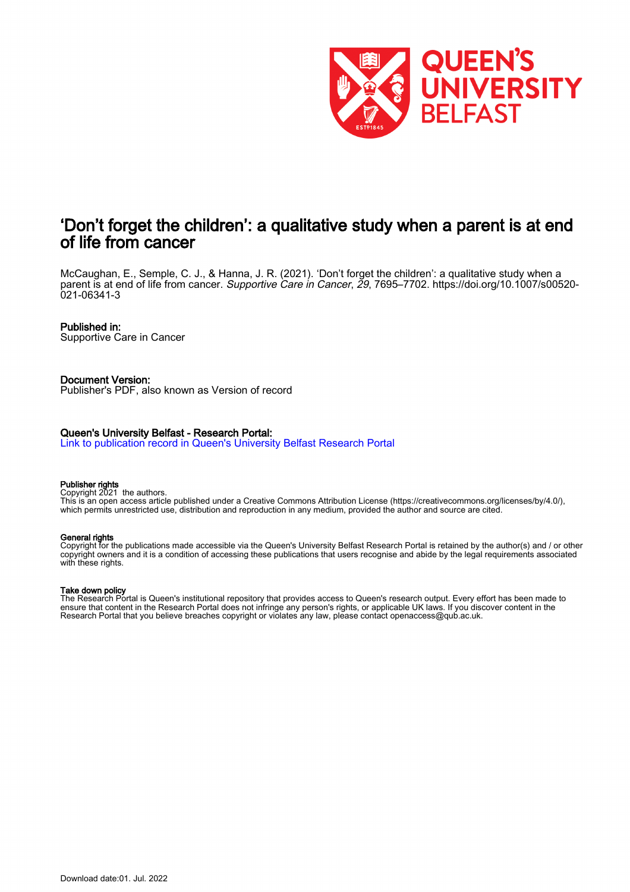

# 'Don't forget the children': a qualitative study when a parent is at end of life from cancer

McCaughan, E., Semple, C. J., & Hanna, J. R. (2021). 'Don't forget the children': a qualitative study when a parent is at end of life from cancer. Supportive Care in Cancer, 29, 7695–7702. [https://doi.org/10.1007/s00520-](https://doi.org/10.1007/s00520-021-06341-3) [021-06341-3](https://doi.org/10.1007/s00520-021-06341-3)

#### Published in:

Supportive Care in Cancer

#### Document Version:

Publisher's PDF, also known as Version of record

### Queen's University Belfast - Research Portal:

[Link to publication record in Queen's University Belfast Research Portal](https://pure.qub.ac.uk/en/publications/c4f23060-fc91-49c9-9a05-f474f81abc3c)

#### Publisher rights

Copyright 2021 the authors.

This is an open access article published under a Creative Commons Attribution License (https://creativecommons.org/licenses/by/4.0/), which permits unrestricted use, distribution and reproduction in any medium, provided the author and source are cited.

#### General rights

Copyright for the publications made accessible via the Queen's University Belfast Research Portal is retained by the author(s) and / or other copyright owners and it is a condition of accessing these publications that users recognise and abide by the legal requirements associated with these rights.

#### Take down policy

The Research Portal is Queen's institutional repository that provides access to Queen's research output. Every effort has been made to ensure that content in the Research Portal does not infringe any person's rights, or applicable UK laws. If you discover content in the Research Portal that you believe breaches copyright or violates any law, please contact openaccess@qub.ac.uk.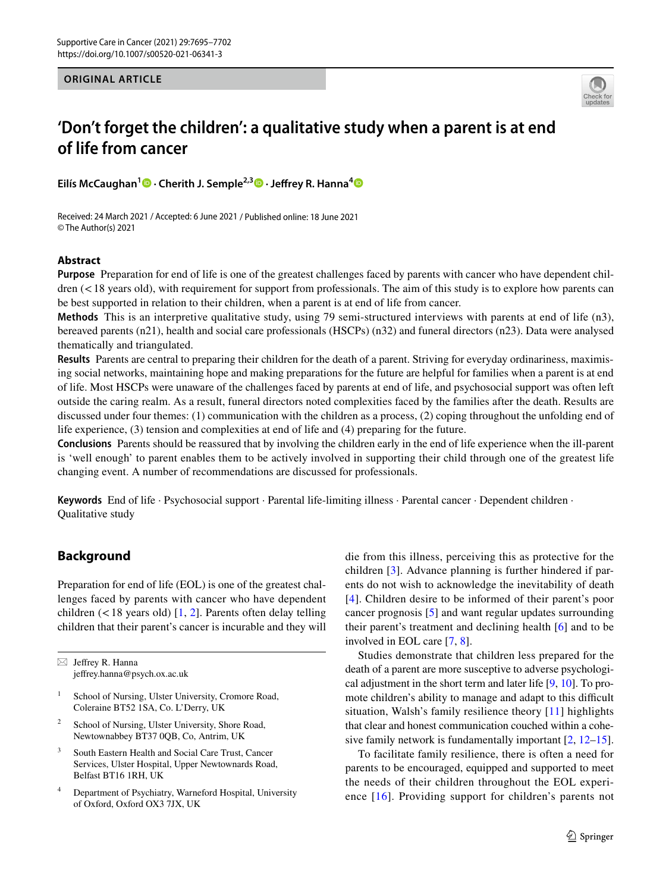#### **ORIGINAL ARTICLE**



# **'Don't forget the children': a qualitative study when a parent is at end of life from cancer**

**Eilís McCaughan1 · Cherith J. Semple2,3  [·](http://orcid.org/0000-0002-4560-7637) Jefrey R. Hanna[4](http://orcid.org/0000-0002-8218-5939)**

Received: 24 March 2021 / Accepted: 6 June 2021 / Published online: 18 June 2021 © The Author(s) 2021

### **Abstract**

**Purpose** Preparation for end of life is one of the greatest challenges faced by parents with cancer who have dependent chil $d$ ren ( $<18$  years old), with requirement for support from professionals. The aim of this study is to explore how parents can be best supported in relation to their children, when a parent is at end of life from cancer.

**Methods** This is an interpretive qualitative study, using 79 semi-structured interviews with parents at end of life (n3), bereaved parents (n21), health and social care professionals (HSCPs) (n32) and funeral directors (n23). Data were analysed thematically and triangulated.

**Results** Parents are central to preparing their children for the death of a parent. Striving for everyday ordinariness, maximising social networks, maintaining hope and making preparations for the future are helpful for families when a parent is at end of life. Most HSCPs were unaware of the challenges faced by parents at end of life, and psychosocial support was often left outside the caring realm. As a result, funeral directors noted complexities faced by the families after the death. Results are discussed under four themes: (1) communication with the children as a process, (2) coping throughout the unfolding end of life experience, (3) tension and complexities at end of life and (4) preparing for the future.

**Conclusions** Parents should be reassured that by involving the children early in the end of life experience when the ill-parent is 'well enough' to parent enables them to be actively involved in supporting their child through one of the greatest life changing event. A number of recommendations are discussed for professionals.

Keywords End of life · Psychosocial support · Parental life-limiting illness · Parental cancer · Dependent children · Qualitative study

# **Background**

Preparation for end of life (EOL) is one of the greatest challenges faced by parents with cancer who have dependent children  $($  < [1](#page-7-0)8 years old) [1, [2\]](#page-7-1). Parents often delay telling children that their parent's cancer is incurable and they will

 $\boxtimes$  Jeffrey R. Hanna jefrey.hanna@psych.ox.ac.uk

- <sup>1</sup> School of Nursing, Ulster University, Cromore Road, Coleraine BT52 1SA, Co. L'Derry, UK
- <sup>2</sup> School of Nursing, Ulster University, Shore Road, Newtownabbey BT37 0QB, Co, Antrim, UK
- <sup>3</sup> South Eastern Health and Social Care Trust, Cancer Services, Ulster Hospital, Upper Newtownards Road, Belfast BT16 1RH, UK
- <sup>4</sup> Department of Psychiatry, Warneford Hospital, University of Oxford, Oxford OX3 7JX, UK

die from this illness, perceiving this as protective for the children [\[3](#page-7-2)]. Advance planning is further hindered if parents do not wish to acknowledge the inevitability of death [[4\]](#page-7-3). Children desire to be informed of their parent's poor cancer prognosis [\[5](#page-8-0)] and want regular updates surrounding their parent's treatment and declining health [[6\]](#page-8-1) and to be involved in EOL care [[7,](#page-8-2) [8\]](#page-8-3).

Studies demonstrate that children less prepared for the death of a parent are more susceptive to adverse psychological adjustment in the short term and later life [\[9](#page-8-4), [10\]](#page-8-5). To promote children's ability to manage and adapt to this difficult situation, Walsh's family resilience theory [[11\]](#page-8-6) highlights that clear and honest communication couched within a cohesive family network is fundamentally important [\[2](#page-7-1), [12](#page-8-7)[–15](#page-8-8)].

To facilitate family resilience, there is often a need for parents to be encouraged, equipped and supported to meet the needs of their children throughout the EOL experience [[16](#page-8-9)]. Providing support for children's parents not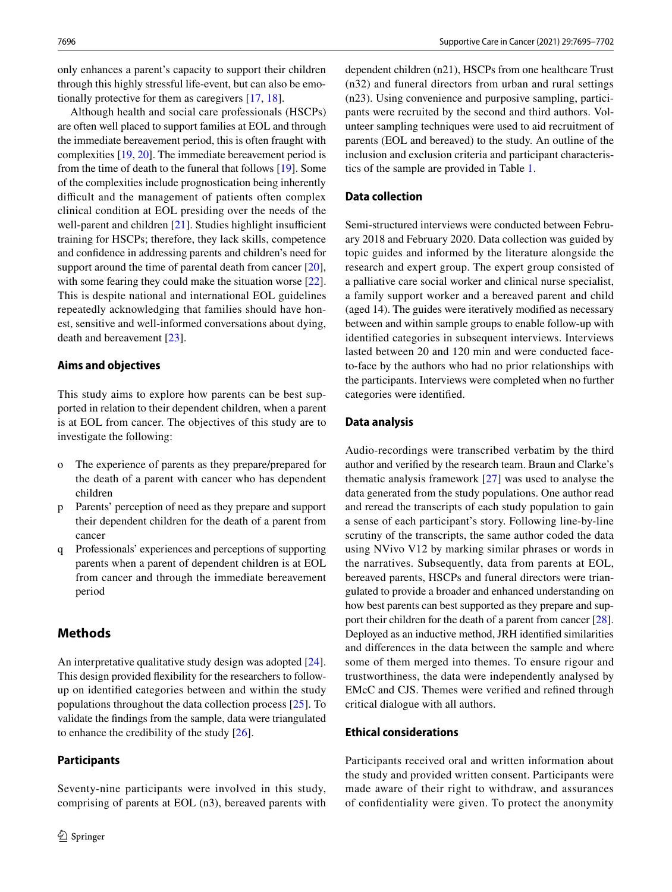only enhances a parent's capacity to support their children through this highly stressful life-event, but can also be emotionally protective for them as caregivers [\[17](#page-8-10), [18\]](#page-8-11).

Although health and social care professionals (HSCPs) are often well placed to support families at EOL and through the immediate bereavement period, this is often fraught with complexities [\[19](#page-8-12), [20\]](#page-8-13). The immediate bereavement period is from the time of death to the funeral that follows [\[19](#page-8-12)]. Some of the complexities include prognostication being inherently difficult and the management of patients often complex clinical condition at EOL presiding over the needs of the well-parent and children  $[21]$  $[21]$  $[21]$ . Studies highlight insufficient training for HSCPs; therefore, they lack skills, competence and confdence in addressing parents and children's need for support around the time of parental death from cancer [\[20](#page-8-13)], with some fearing they could make the situation worse [\[22](#page-8-15)]. This is despite national and international EOL guidelines repeatedly acknowledging that families should have honest, sensitive and well-informed conversations about dying, death and bereavement [\[23](#page-8-16)].

#### **Aims and objectives**

This study aims to explore how parents can be best supported in relation to their dependent children, when a parent is at EOL from cancer. The objectives of this study are to investigate the following:

- o The experience of parents as they prepare/prepared for the death of a parent with cancer who has dependent children
- p Parents' perception of need as they prepare and support their dependent children for the death of a parent from cancer
- q Professionals' experiences and perceptions of supporting parents when a parent of dependent children is at EOL from cancer and through the immediate bereavement period

## **Methods**

An interpretative qualitative study design was adopted [\[24](#page-8-17)]. This design provided fexibility for the researchers to followup on identifed categories between and within the study populations throughout the data collection process [[25\]](#page-8-18). To validate the fndings from the sample, data were triangulated to enhance the credibility of the study [\[26](#page-8-19)].

Seventy-nine participants were involved in this study, comprising of parents at EOL (n3), bereaved parents with

#### **Participants**

dependent children (n21), HSCPs from one healthcare Trust (n32) and funeral directors from urban and rural settings (n23). Using convenience and purposive sampling, participants were recruited by the second and third authors. Volunteer sampling techniques were used to aid recruitment of parents (EOL and bereaved) to the study. An outline of the inclusion and exclusion criteria and participant characteristics of the sample are provided in Table [1.](#page-3-0)

#### **Data collection**

Semi-structured interviews were conducted between February 2018 and February 2020. Data collection was guided by topic guides and informed by the literature alongside the research and expert group. The expert group consisted of a palliative care social worker and clinical nurse specialist, a family support worker and a bereaved parent and child (aged 14). The guides were iteratively modifed as necessary between and within sample groups to enable follow-up with identifed categories in subsequent interviews. Interviews lasted between 20 and 120 min and were conducted faceto-face by the authors who had no prior relationships with the participants. Interviews were completed when no further categories were identifed.

#### **Data analysis**

Audio-recordings were transcribed verbatim by the third author and verifed by the research team. Braun and Clarke's thematic analysis framework [[27](#page-8-20)] was used to analyse the data generated from the study populations. One author read and reread the transcripts of each study population to gain a sense of each participant's story. Following line-by-line scrutiny of the transcripts, the same author coded the data using NVivo V12 by marking similar phrases or words in the narratives. Subsequently, data from parents at EOL, bereaved parents, HSCPs and funeral directors were triangulated to provide a broader and enhanced understanding on how best parents can best supported as they prepare and support their children for the death of a parent from cancer [[28](#page-8-21)]. Deployed as an inductive method, JRH identifed similarities and diferences in the data between the sample and where some of them merged into themes. To ensure rigour and trustworthiness, the data were independently analysed by EMcC and CJS. Themes were verifed and refned through critical dialogue with all authors.

## **Ethical considerations**

Participants received oral and written information about the study and provided written consent. Participants were made aware of their right to withdraw, and assurances of confdentiality were given. To protect the anonymity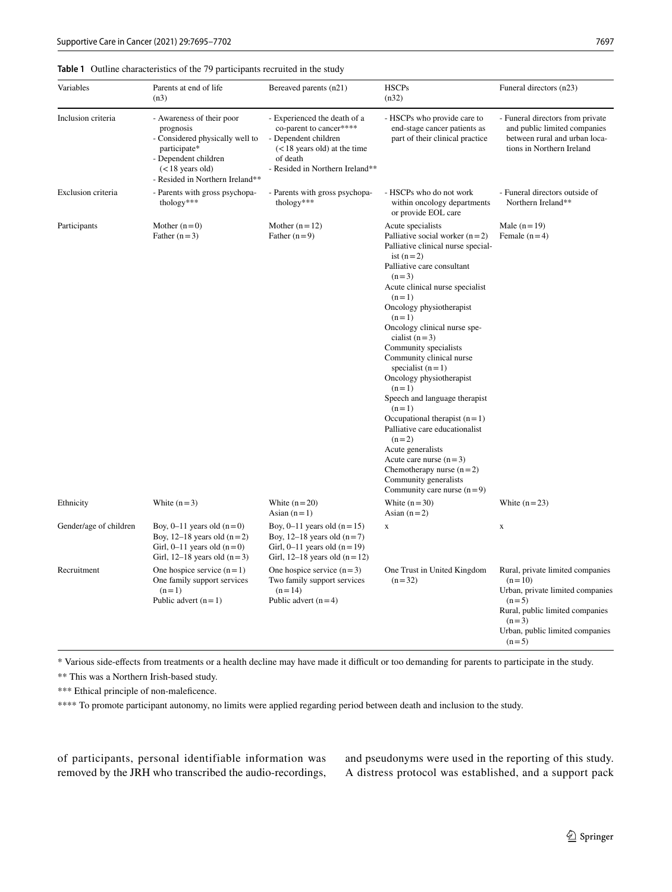### <span id="page-3-0"></span>**Table 1** Outline characteristics of the 79 participants recruited in the study

| Variables              | Parents at end of life<br>(n3)                                                                                                                                             | Bereaved parents (n21)                                                                                                                                           | <b>HSCPs</b><br>(n32)                                                                                                                                                                                                                                                                                                                                                                                                                                                                                                                                                                                                                                                            | Funeral directors (n23)                                                                                                                                                                 |
|------------------------|----------------------------------------------------------------------------------------------------------------------------------------------------------------------------|------------------------------------------------------------------------------------------------------------------------------------------------------------------|----------------------------------------------------------------------------------------------------------------------------------------------------------------------------------------------------------------------------------------------------------------------------------------------------------------------------------------------------------------------------------------------------------------------------------------------------------------------------------------------------------------------------------------------------------------------------------------------------------------------------------------------------------------------------------|-----------------------------------------------------------------------------------------------------------------------------------------------------------------------------------------|
| Inclusion criteria     | - Awareness of their poor<br>prognosis<br>- Considered physically well to<br>participate*<br>- Dependent children<br>$(< 18$ years old)<br>- Resided in Northern Ireland** | - Experienced the death of a<br>co-parent to cancer****<br>- Dependent children<br>$(< 18$ years old) at the time<br>of death<br>- Resided in Northern Ireland** | - HSCPs who provide care to<br>end-stage cancer patients as<br>part of their clinical practice                                                                                                                                                                                                                                                                                                                                                                                                                                                                                                                                                                                   | - Funeral directors from private<br>and public limited companies<br>between rural and urban loca-<br>tions in Northern Ireland                                                          |
| Exclusion criteria     | - Parents with gross psychopa-<br>thology***                                                                                                                               | - Parents with gross psychopa-<br>thology***                                                                                                                     | - HSCPs who do not work<br>within oncology departments<br>or provide EOL care                                                                                                                                                                                                                                                                                                                                                                                                                                                                                                                                                                                                    | - Funeral directors outside of<br>Northern Ireland**                                                                                                                                    |
| Participants           | Mother $(n=0)$<br>Father $(n=3)$                                                                                                                                           | Mother $(n=12)$<br>Father $(n=9)$                                                                                                                                | Acute specialists<br>Palliative social worker $(n=2)$<br>Palliative clinical nurse special-<br>ist $(n=2)$<br>Palliative care consultant<br>$(n=3)$<br>Acute clinical nurse specialist<br>$(n=1)$<br>Oncology physiotherapist<br>$(n=1)$<br>Oncology clinical nurse spe-<br>cialist $(n=3)$<br>Community specialists<br>Community clinical nurse<br>specialist $(n=1)$<br>Oncology physiotherapist<br>$(n=1)$<br>Speech and language therapist<br>$(n=1)$<br>Occupational therapist $(n=1)$<br>Palliative care educationalist<br>$(n=2)$<br>Acute generalists<br>Acute care nurse $(n=3)$<br>Chemotherapy nurse $(n=2)$<br>Community generalists<br>Community care nurse $(n=9)$ | Male $(n=19)$<br>Female $(n=4)$                                                                                                                                                         |
| Ethnicity              | White $(n=3)$                                                                                                                                                              | White $(n=20)$<br>Asian $(n=1)$                                                                                                                                  | White $(n=30)$<br>Asian $(n=2)$                                                                                                                                                                                                                                                                                                                                                                                                                                                                                                                                                                                                                                                  | White $(n=23)$                                                                                                                                                                          |
| Gender/age of children | Boy, $0-11$ years old $(n=0)$<br>Boy, 12–18 years old $(n=2)$<br>Girl, $0-11$ years old $(n=0)$<br>Girl, 12–18 years old $(n=3)$                                           | Boy, 0–11 years old $(n=15)$<br>Boy, 12–18 years old $(n=7)$<br>Girl, $0-11$ years old $(n=19)$<br>Girl, 12–18 years old $(n=12)$                                | X                                                                                                                                                                                                                                                                                                                                                                                                                                                                                                                                                                                                                                                                                | X                                                                                                                                                                                       |
| Recruitment            | One hospice service $(n=1)$<br>One family support services<br>$(n=1)$<br>Public advert $(n=1)$                                                                             | One hospice service $(n=3)$<br>Two family support services<br>$(n=14)$<br>Public advert $(n=4)$                                                                  | One Trust in United Kingdom<br>$(n=32)$                                                                                                                                                                                                                                                                                                                                                                                                                                                                                                                                                                                                                                          | Rural, private limited companies<br>$(n=10)$<br>Urban, private limited companies<br>$(n=5)$<br>Rural, public limited companies<br>$(n=3)$<br>Urban, public limited companies<br>$(n=5)$ |

\* Various side-efects from treatments or a health decline may have made it difcult or too demanding for parents to participate in the study.

\*\* This was a Northern Irish-based study.

\*\*\* Ethical principle of non-maleficence.

\*\*\*\* To promote participant autonomy, no limits were applied regarding period between death and inclusion to the study.

of participants, personal identifiable information was removed by the JRH who transcribed the audio-recordings, and pseudonyms were used in the reporting of this study. A distress protocol was established, and a support pack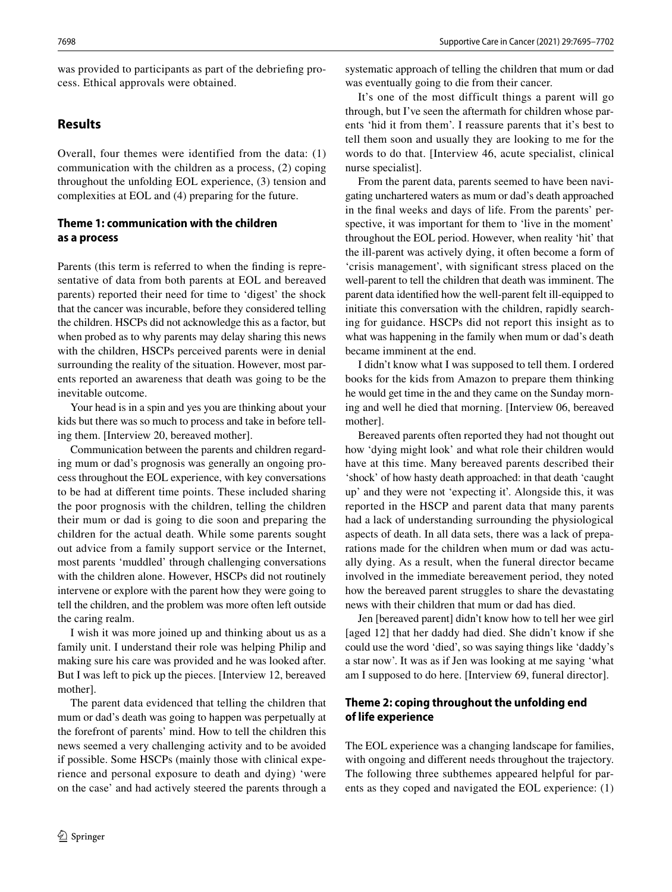was provided to participants as part of the debriefng process. Ethical approvals were obtained.

# **Results**

Overall, four themes were identified from the data: (1) communication with the children as a process, (2) coping throughout the unfolding EOL experience, (3) tension and complexities at EOL and (4) preparing for the future.

# **Theme 1: communication with the children as a process**

Parents (this term is referred to when the fnding is representative of data from both parents at EOL and bereaved parents) reported their need for time to 'digest' the shock that the cancer was incurable, before they considered telling the children. HSCPs did not acknowledge this as a factor, but when probed as to why parents may delay sharing this news with the children, HSCPs perceived parents were in denial surrounding the reality of the situation. However, most parents reported an awareness that death was going to be the inevitable outcome.

Your head is in a spin and yes you are thinking about your kids but there was so much to process and take in before telling them. [Interview 20, bereaved mother].

Communication between the parents and children regarding mum or dad's prognosis was generally an ongoing process throughout the EOL experience, with key conversations to be had at diferent time points. These included sharing the poor prognosis with the children, telling the children their mum or dad is going to die soon and preparing the children for the actual death. While some parents sought out advice from a family support service or the Internet, most parents 'muddled' through challenging conversations with the children alone. However, HSCPs did not routinely intervene or explore with the parent how they were going to tell the children, and the problem was more often left outside the caring realm.

I wish it was more joined up and thinking about us as a family unit. I understand their role was helping Philip and making sure his care was provided and he was looked after. But I was left to pick up the pieces. [Interview 12, bereaved mother].

The parent data evidenced that telling the children that mum or dad's death was going to happen was perpetually at the forefront of parents' mind. How to tell the children this news seemed a very challenging activity and to be avoided if possible. Some HSCPs (mainly those with clinical experience and personal exposure to death and dying) 'were on the case' and had actively steered the parents through a systematic approach of telling the children that mum or dad was eventually going to die from their cancer.

It's one of the most difficult things a parent will go through, but I've seen the aftermath for children whose parents 'hid it from them'. I reassure parents that it's best to tell them soon and usually they are looking to me for the words to do that. [Interview 46, acute specialist, clinical nurse specialist].

From the parent data, parents seemed to have been navigating unchartered waters as mum or dad's death approached in the fnal weeks and days of life. From the parents' perspective, it was important for them to 'live in the moment' throughout the EOL period. However, when reality 'hit' that the ill-parent was actively dying, it often become a form of 'crisis management', with signifcant stress placed on the well-parent to tell the children that death was imminent. The parent data identifed how the well-parent felt ill-equipped to initiate this conversation with the children, rapidly searching for guidance. HSCPs did not report this insight as to what was happening in the family when mum or dad's death became imminent at the end.

I didn't know what I was supposed to tell them. I ordered books for the kids from Amazon to prepare them thinking he would get time in the and they came on the Sunday morning and well he died that morning. [Interview 06, bereaved mother].

Bereaved parents often reported they had not thought out how 'dying might look' and what role their children would have at this time. Many bereaved parents described their 'shock' of how hasty death approached: in that death 'caught up' and they were not 'expecting it'. Alongside this, it was reported in the HSCP and parent data that many parents had a lack of understanding surrounding the physiological aspects of death. In all data sets, there was a lack of preparations made for the children when mum or dad was actually dying. As a result, when the funeral director became involved in the immediate bereavement period, they noted how the bereaved parent struggles to share the devastating news with their children that mum or dad has died.

Jen [bereaved parent] didn't know how to tell her wee girl [aged 12] that her daddy had died. She didn't know if she could use the word 'died', so was saying things like 'daddy's a star now'. It was as if Jen was looking at me saying 'what am I supposed to do here. [Interview 69, funeral director].

## **Theme 2: coping throughout the unfolding end of life experience**

The EOL experience was a changing landscape for families, with ongoing and diferent needs throughout the trajectory. The following three subthemes appeared helpful for parents as they coped and navigated the EOL experience: (1)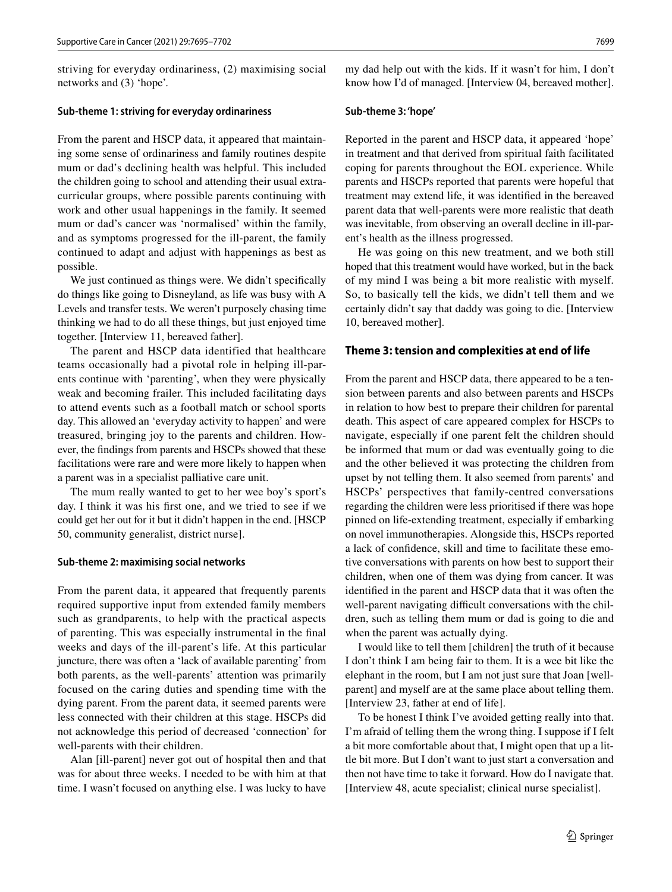striving for everyday ordinariness, (2) maximising social networks and (3) 'hope'.

#### **Sub‑theme 1: striving for everyday ordinariness**

From the parent and HSCP data, it appeared that maintaining some sense of ordinariness and family routines despite mum or dad's declining health was helpful. This included the children going to school and attending their usual extracurricular groups, where possible parents continuing with work and other usual happenings in the family. It seemed mum or dad's cancer was 'normalised' within the family, and as symptoms progressed for the ill-parent, the family continued to adapt and adjust with happenings as best as possible.

We just continued as things were. We didn't specifically do things like going to Disneyland, as life was busy with A Levels and transfer tests. We weren't purposely chasing time thinking we had to do all these things, but just enjoyed time together. [Interview 11, bereaved father].

The parent and HSCP data identified that healthcare teams occasionally had a pivotal role in helping ill-parents continue with 'parenting', when they were physically weak and becoming frailer. This included facilitating days to attend events such as a football match or school sports day. This allowed an 'everyday activity to happen' and were treasured, bringing joy to the parents and children. However, the fndings from parents and HSCPs showed that these facilitations were rare and were more likely to happen when a parent was in a specialist palliative care unit.

The mum really wanted to get to her wee boy's sport's day. I think it was his frst one, and we tried to see if we could get her out for it but it didn't happen in the end. [HSCP 50, community generalist, district nurse].

### **Sub‑theme 2: maximising social networks**

From the parent data, it appeared that frequently parents required supportive input from extended family members such as grandparents, to help with the practical aspects of parenting. This was especially instrumental in the fnal weeks and days of the ill-parent's life. At this particular juncture, there was often a 'lack of available parenting' from both parents, as the well-parents' attention was primarily focused on the caring duties and spending time with the dying parent. From the parent data, it seemed parents were less connected with their children at this stage. HSCPs did not acknowledge this period of decreased 'connection' for well-parents with their children.

Alan [ill-parent] never got out of hospital then and that was for about three weeks. I needed to be with him at that time. I wasn't focused on anything else. I was lucky to have my dad help out with the kids. If it wasn't for him, I don't know how I'd of managed. [Interview 04, bereaved mother].

#### **Sub‑theme 3: 'hope'**

Reported in the parent and HSCP data, it appeared 'hope' in treatment and that derived from spiritual faith facilitated coping for parents throughout the EOL experience. While parents and HSCPs reported that parents were hopeful that treatment may extend life, it was identifed in the bereaved parent data that well-parents were more realistic that death was inevitable, from observing an overall decline in ill-parent's health as the illness progressed.

He was going on this new treatment, and we both still hoped that this treatment would have worked, but in the back of my mind I was being a bit more realistic with myself. So, to basically tell the kids, we didn't tell them and we certainly didn't say that daddy was going to die. [Interview 10, bereaved mother].

#### **Theme 3: tension and complexities at end of life**

From the parent and HSCP data, there appeared to be a tension between parents and also between parents and HSCPs in relation to how best to prepare their children for parental death. This aspect of care appeared complex for HSCPs to navigate, especially if one parent felt the children should be informed that mum or dad was eventually going to die and the other believed it was protecting the children from upset by not telling them. It also seemed from parents' and HSCPs' perspectives that family-centred conversations regarding the children were less prioritised if there was hope pinned on life-extending treatment, especially if embarking on novel immunotherapies. Alongside this, HSCPs reported a lack of confdence, skill and time to facilitate these emotive conversations with parents on how best to support their children, when one of them was dying from cancer. It was identifed in the parent and HSCP data that it was often the well-parent navigating difficult conversations with the children, such as telling them mum or dad is going to die and when the parent was actually dying.

I would like to tell them [children] the truth of it because I don't think I am being fair to them. It is a wee bit like the elephant in the room, but I am not just sure that Joan [wellparent] and myself are at the same place about telling them. [Interview 23, father at end of life].

To be honest I think I've avoided getting really into that. I'm afraid of telling them the wrong thing. I suppose if I felt a bit more comfortable about that, I might open that up a little bit more. But I don't want to just start a conversation and then not have time to take it forward. How do I navigate that. [Interview 48, acute specialist; clinical nurse specialist].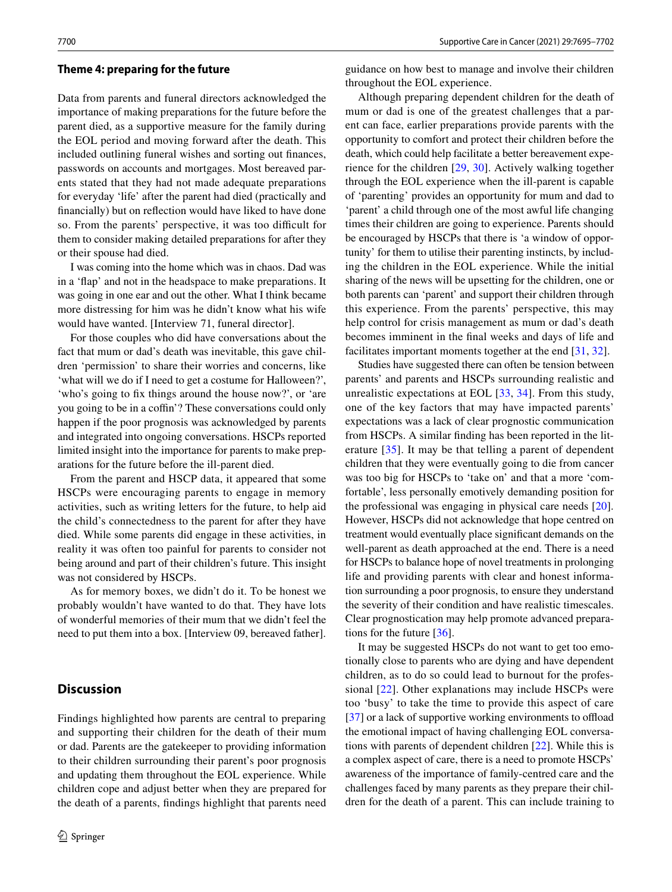#### **Theme 4: preparing for the future**

Data from parents and funeral directors acknowledged the importance of making preparations for the future before the parent died, as a supportive measure for the family during the EOL period and moving forward after the death. This included outlining funeral wishes and sorting out fnances, passwords on accounts and mortgages. Most bereaved parents stated that they had not made adequate preparations for everyday 'life' after the parent had died (practically and fnancially) but on refection would have liked to have done so. From the parents' perspective, it was too difficult for them to consider making detailed preparations for after they or their spouse had died.

I was coming into the home which was in chaos. Dad was in a 'fap' and not in the headspace to make preparations. It was going in one ear and out the other. What I think became more distressing for him was he didn't know what his wife would have wanted. [Interview 71, funeral director].

For those couples who did have conversations about the fact that mum or dad's death was inevitable, this gave children 'permission' to share their worries and concerns, like 'what will we do if I need to get a costume for Halloween?', 'who's going to fx things around the house now?', or 'are you going to be in a coffin'? These conversations could only happen if the poor prognosis was acknowledged by parents and integrated into ongoing conversations. HSCPs reported limited insight into the importance for parents to make preparations for the future before the ill-parent died.

From the parent and HSCP data, it appeared that some HSCPs were encouraging parents to engage in memory activities, such as writing letters for the future, to help aid the child's connectedness to the parent for after they have died. While some parents did engage in these activities, in reality it was often too painful for parents to consider not being around and part of their children's future. This insight was not considered by HSCPs.

As for memory boxes, we didn't do it. To be honest we probably wouldn't have wanted to do that. They have lots of wonderful memories of their mum that we didn't feel the need to put them into a box. [Interview 09, bereaved father].

#### **Discussion**

Findings highlighted how parents are central to preparing and supporting their children for the death of their mum or dad. Parents are the gatekeeper to providing information to their children surrounding their parent's poor prognosis and updating them throughout the EOL experience. While children cope and adjust better when they are prepared for the death of a parents, fndings highlight that parents need guidance on how best to manage and involve their children throughout the EOL experience.

Although preparing dependent children for the death of mum or dad is one of the greatest challenges that a parent can face, earlier preparations provide parents with the opportunity to comfort and protect their children before the death, which could help facilitate a better bereavement experience for the children [[29,](#page-8-22) [30](#page-8-23)]. Actively walking together through the EOL experience when the ill-parent is capable of 'parenting' provides an opportunity for mum and dad to 'parent' a child through one of the most awful life changing times their children are going to experience. Parents should be encouraged by HSCPs that there is 'a window of opportunity' for them to utilise their parenting instincts, by including the children in the EOL experience. While the initial sharing of the news will be upsetting for the children, one or both parents can 'parent' and support their children through this experience. From the parents' perspective, this may help control for crisis management as mum or dad's death becomes imminent in the fnal weeks and days of life and facilitates important moments together at the end [[31,](#page-8-24) [32\]](#page-8-25).

Studies have suggested there can often be tension between parents' and parents and HSCPs surrounding realistic and unrealistic expectations at EOL [\[33,](#page-8-26) [34](#page-8-27)]. From this study, one of the key factors that may have impacted parents' expectations was a lack of clear prognostic communication from HSCPs. A similar fnding has been reported in the literature [[35](#page-8-28)]. It may be that telling a parent of dependent children that they were eventually going to die from cancer was too big for HSCPs to 'take on' and that a more 'comfortable', less personally emotively demanding position for the professional was engaging in physical care needs [[20](#page-8-13)]. However, HSCPs did not acknowledge that hope centred on treatment would eventually place signifcant demands on the well-parent as death approached at the end. There is a need for HSCPs to balance hope of novel treatments in prolonging life and providing parents with clear and honest information surrounding a poor prognosis, to ensure they understand the severity of their condition and have realistic timescales. Clear prognostication may help promote advanced preparations for the future [[36](#page-8-29)].

It may be suggested HSCPs do not want to get too emotionally close to parents who are dying and have dependent children, as to do so could lead to burnout for the professional [\[22\]](#page-8-15). Other explanations may include HSCPs were too 'busy' to take the time to provide this aspect of care  $[37]$  $[37]$  or a lack of supportive working environments to offload the emotional impact of having challenging EOL conversations with parents of dependent children [[22\]](#page-8-15). While this is a complex aspect of care, there is a need to promote HSCPs' awareness of the importance of family-centred care and the challenges faced by many parents as they prepare their children for the death of a parent. This can include training to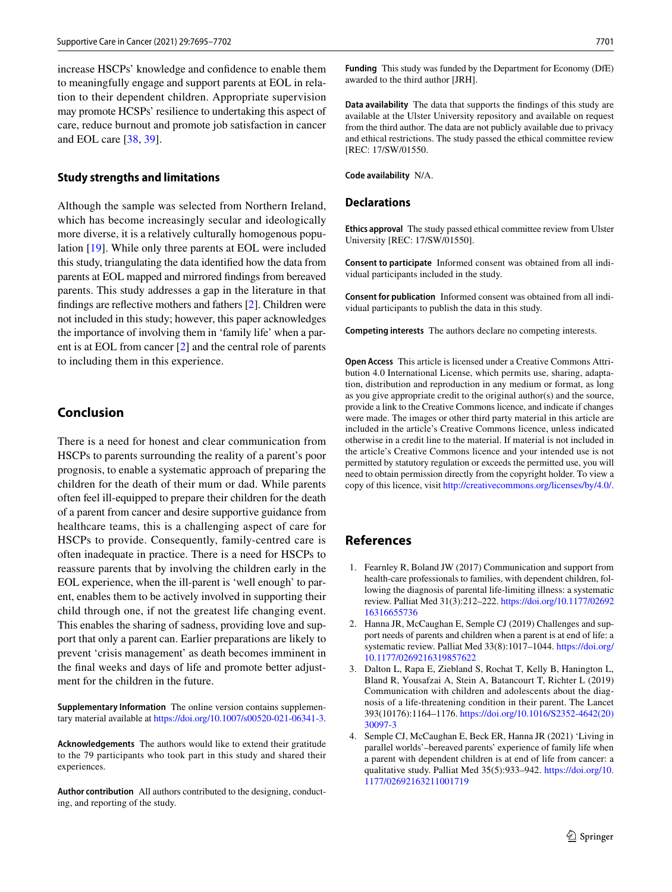increase HSCPs' knowledge and confdence to enable them to meaningfully engage and support parents at EOL in relation to their dependent children. Appropriate supervision may promote HCSPs' resilience to undertaking this aspect of care, reduce burnout and promote job satisfaction in cancer and EOL care [[38,](#page-8-31) [39\]](#page-8-32).

#### **Study strengths and limitations**

Although the sample was selected from Northern Ireland, which has become increasingly secular and ideologically more diverse, it is a relatively culturally homogenous population [[19](#page-8-12)]. While only three parents at EOL were included this study, triangulating the data identifed how the data from parents at EOL mapped and mirrored fndings from bereaved parents. This study addresses a gap in the literature in that fndings are refective mothers and fathers [\[2](#page-7-1)]. Children were not included in this study; however, this paper acknowledges the importance of involving them in 'family life' when a parent is at EOL from cancer [[2\]](#page-7-1) and the central role of parents to including them in this experience.

# **Conclusion**

There is a need for honest and clear communication from HSCPs to parents surrounding the reality of a parent's poor prognosis, to enable a systematic approach of preparing the children for the death of their mum or dad. While parents often feel ill-equipped to prepare their children for the death of a parent from cancer and desire supportive guidance from healthcare teams, this is a challenging aspect of care for HSCPs to provide. Consequently, family-centred care is often inadequate in practice. There is a need for HSCPs to reassure parents that by involving the children early in the EOL experience, when the ill-parent is 'well enough' to parent, enables them to be actively involved in supporting their child through one, if not the greatest life changing event. This enables the sharing of sadness, providing love and support that only a parent can. Earlier preparations are likely to prevent 'crisis management' as death becomes imminent in the fnal weeks and days of life and promote better adjustment for the children in the future.

**Supplementary Information** The online version contains supplementary material available at<https://doi.org/10.1007/s00520-021-06341-3>.

**Acknowledgements** The authors would like to extend their gratitude to the 79 participants who took part in this study and shared their experiences.

**Author contribution** All authors contributed to the designing, conducting, and reporting of the study.

**Funding** This study was funded by the Department for Economy (DfE) awarded to the third author [JRH].

**Data availability** The data that supports the fndings of this study are available at the Ulster University repository and available on request from the third author. The data are not publicly available due to privacy and ethical restrictions. The study passed the ethical committee review [REC: 17/SW/01550.

**Code availability** N/A.

#### **Declarations**

**Ethics approval** The study passed ethical committee review from Ulster University [REC: 17/SW/01550].

**Consent to participate** Informed consent was obtained from all individual participants included in the study.

**Consent for publication** Informed consent was obtained from all individual participants to publish the data in this study.

**Competing interests** The authors declare no competing interests.

**Open Access** This article is licensed under a Creative Commons Attribution 4.0 International License, which permits use, sharing, adaptation, distribution and reproduction in any medium or format, as long as you give appropriate credit to the original author(s) and the source, provide a link to the Creative Commons licence, and indicate if changes were made. The images or other third party material in this article are included in the article's Creative Commons licence, unless indicated otherwise in a credit line to the material. If material is not included in the article's Creative Commons licence and your intended use is not permitted by statutory regulation or exceeds the permitted use, you will need to obtain permission directly from the copyright holder. To view a copy of this licence, visit<http://creativecommons.org/licenses/by/4.0/>.

### **References**

- <span id="page-7-0"></span>1. Fearnley R, Boland JW (2017) Communication and support from health-care professionals to families, with dependent children, following the diagnosis of parental life-limiting illness: a systematic review. Palliat Med 31(3):212–222. [https://doi.org/10.1177/02692](https://doi.org/10.1177/0269216316655736) [16316655736](https://doi.org/10.1177/0269216316655736)
- <span id="page-7-1"></span>2. Hanna JR, McCaughan E, Semple CJ (2019) Challenges and support needs of parents and children when a parent is at end of life: a systematic review. Palliat Med 33(8):1017–1044. [https://doi.org/](https://doi.org/10.1177/0269216319857622) [10.1177/0269216319857622](https://doi.org/10.1177/0269216319857622)
- <span id="page-7-2"></span>3. Dalton L, Rapa E, Ziebland S, Rochat T, Kelly B, Hanington L, Bland R, Yousafzai A, Stein A, Batancourt T, Richter L (2019) Communication with children and adolescents about the diagnosis of a life-threatening condition in their parent. The Lancet 393(10176):1164–1176. [https://doi.org/10.1016/S2352-4642\(20\)](https://doi.org/10.1016/S2352-4642(20)30097-3) [30097-3](https://doi.org/10.1016/S2352-4642(20)30097-3)
- <span id="page-7-3"></span>4. Semple CJ, McCaughan E, Beck ER, Hanna JR (2021) 'Living in parallel worlds'–bereaved parents' experience of family life when a parent with dependent children is at end of life from cancer: a qualitative study. Palliat Med 35(5):933–942. [https://doi.org/10.](https://doi.org/10.1177/02692163211001719) [1177/02692163211001719](https://doi.org/10.1177/02692163211001719)